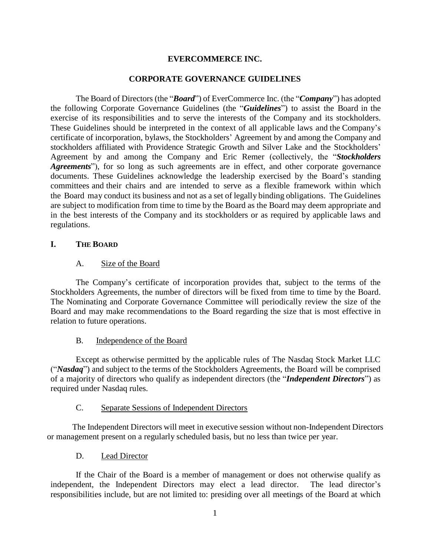### **EVERCOMMERCE INC.**

#### **CORPORATE GOVERNANCE GUIDELINES**

The Board of Directors (the "*Board*") of EverCommerce Inc. (the "*Company*") has adopted the following Corporate Governance Guidelines (the "*Guidelines*") to assist the Board in the exercise of its responsibilities and to serve the interests of the Company and its stockholders. These Guidelines should be interpreted in the context of all applicable laws and the Company's certificate of incorporation, bylaws, the Stockholders' Agreement by and among the Company and stockholders affiliated with Providence Strategic Growth and Silver Lake and the Stockholders' Agreement by and among the Company and Eric Remer (collectively, the "*Stockholders Agreements*"), for so long as such agreements are in effect, and other corporate governance documents. These Guidelines acknowledge the leadership exercised by the Board's standing committees and their chairs and are intended to serve as a flexible framework within which the Board may conduct its business and not as a set of legally binding obligations. The Guidelines are subject to modification from time to time by the Board as the Board may deem appropriate and in the best interests of the Company and its stockholders or as required by applicable laws and regulations.

### **I. THE BOARD**

#### A. Size of the Board

The Company's certificate of incorporation provides that, subject to the terms of the Stockholders Agreements, the number of directors will be fixed from time to time by the Board. The Nominating and Corporate Governance Committee will periodically review the size of the Board and may make recommendations to the Board regarding the size that is most effective in relation to future operations.

## B. Independence of the Board

Except as otherwise permitted by the applicable rules of The Nasdaq Stock Market LLC ("*Nasdaq*") and subject to the terms of the Stockholders Agreements, the Board will be comprised of a majority of directors who qualify as independent directors (the "*Independent Directors*") as required under Nasdaq rules.

## C. Separate Sessions of Independent Directors

The Independent Directors will meet in executive session without non-Independent Directors or management present on a regularly scheduled basis, but no less than twice per year.

## D. Lead Director

If the Chair of the Board is a member of management or does not otherwise qualify as independent, the Independent Directors may elect a lead director. The lead director's responsibilities include, but are not limited to: presiding over all meetings of the Board at which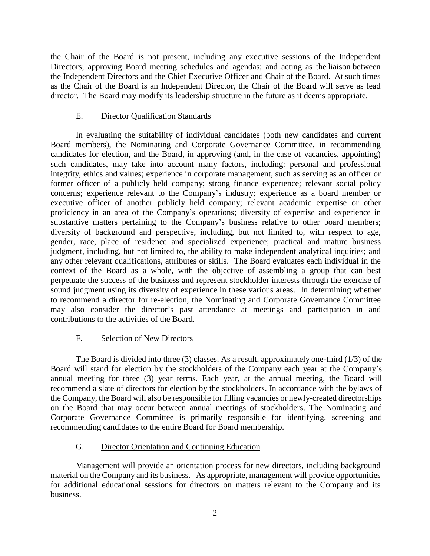the Chair of the Board is not present, including any executive sessions of the Independent Directors; approving Board meeting schedules and agendas; and acting as the liaison between the Independent Directors and the Chief Executive Officer and Chair of the Board. At such times as the Chair of the Board is an Independent Director, the Chair of the Board will serve as lead director. The Board may modify its leadership structure in the future as it deems appropriate.

### E. Director Qualification Standards

In evaluating the suitability of individual candidates (both new candidates and current Board members), the Nominating and Corporate Governance Committee, in recommending candidates for election, and the Board, in approving (and, in the case of vacancies, appointing) such candidates, may take into account many factors, including: personal and professional integrity, ethics and values; experience in corporate management, such as serving as an officer or former officer of a publicly held company; strong finance experience; relevant social policy concerns; experience relevant to the Company's industry; experience as a board member or executive officer of another publicly held company; relevant academic expertise or other proficiency in an area of the Company's operations; diversity of expertise and experience in substantive matters pertaining to the Company's business relative to other board members; diversity of background and perspective, including, but not limited to, with respect to age, gender, race, place of residence and specialized experience; practical and mature business judgment, including, but not limited to, the ability to make independent analytical inquiries; and any other relevant qualifications, attributes or skills. The Board evaluates each individual in the context of the Board as a whole, with the objective of assembling a group that can best perpetuate the success of the business and represent stockholder interests through the exercise of sound judgment using its diversity of experience in these various areas. In determining whether to recommend a director for re-election, the Nominating and Corporate Governance Committee may also consider the director's past attendance at meetings and participation in and contributions to the activities of the Board.

## F. Selection of New Directors

The Board is divided into three (3) classes. As a result, approximately one-third (1/3) of the Board will stand for election by the stockholders of the Company each year at the Company's annual meeting for three (3) year terms. Each year, at the annual meeting, the Board will recommend a slate of directors for election by the stockholders. In accordance with the bylaws of the Company, the Board will also be responsible for filling vacancies or newly-created directorships on the Board that may occur between annual meetings of stockholders. The Nominating and Corporate Governance Committee is primarily responsible for identifying, screening and recommending candidates to the entire Board for Board membership.

## G. Director Orientation and Continuing Education

Management will provide an orientation process for new directors, including background material on the Company and its business. As appropriate, management will provide opportunities for additional educational sessions for directors on matters relevant to the Company and its business.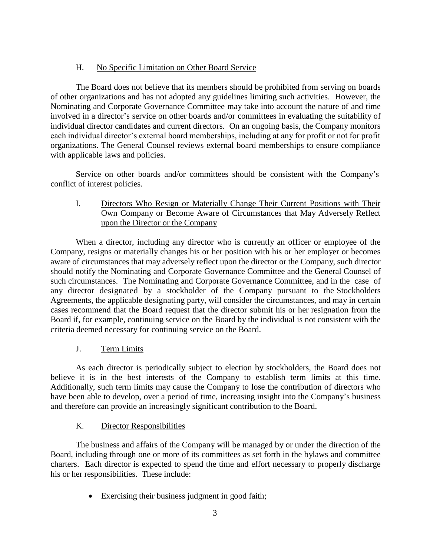# H. No Specific Limitation on Other Board Service

The Board does not believe that its members should be prohibited from serving on boards of other organizations and has not adopted any guidelines limiting such activities. However, the Nominating and Corporate Governance Committee may take into account the nature of and time involved in a director's service on other boards and/or committees in evaluating the suitability of individual director candidates and current directors. On an ongoing basis, the Company monitors each individual director's external board memberships, including at any for profit or not for profit organizations. The General Counsel reviews external board memberships to ensure compliance with applicable laws and policies.

Service on other boards and/or committees should be consistent with the Company's conflict of interest policies.

I. Directors Who Resign or Materially Change Their Current Positions with Their Own Company or Become Aware of Circumstances that May Adversely Reflect upon the Director or the Company

When a director, including any director who is currently an officer or employee of the Company, resigns or materially changes his or her position with his or her employer or becomes aware of circumstances that may adversely reflect upon the director or the Company, such director should notify the Nominating and Corporate Governance Committee and the General Counsel of such circumstances. The Nominating and Corporate Governance Committee, and in the case of any director designated by a stockholder of the Company pursuant to the Stockholders Agreements, the applicable designating party, will consider the circumstances, and may in certain cases recommend that the Board request that the director submit his or her resignation from the Board if, for example, continuing service on the Board by the individual is not consistent with the criteria deemed necessary for continuing service on the Board.

# J. Term Limits

As each director is periodically subject to election by stockholders, the Board does not believe it is in the best interests of the Company to establish term limits at this time. Additionally, such term limits may cause the Company to lose the contribution of directors who have been able to develop, over a period of time, increasing insight into the Company's business and therefore can provide an increasingly significant contribution to the Board.

# K. Director Responsibilities

The business and affairs of the Company will be managed by or under the direction of the Board, including through one or more of its committees as set forth in the bylaws and committee charters. Each director is expected to spend the time and effort necessary to properly discharge his or her responsibilities. These include:

Exercising their business judgment in good faith;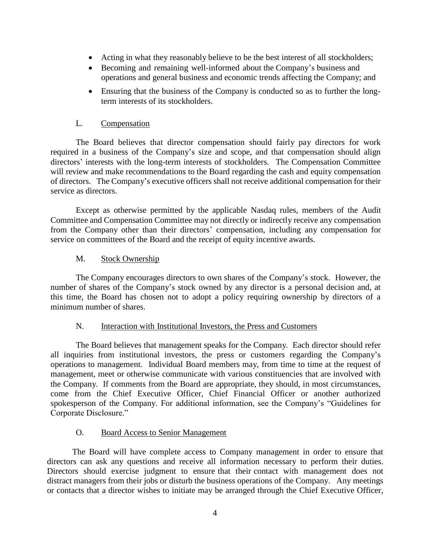- Acting in what they reasonably believe to be the best interest of all stockholders;
- Becoming and remaining well-informed about the Company's business and operations and general business and economic trends affecting the Company; and
- Ensuring that the business of the Company is conducted so as to further the longterm interests of its stockholders.

## L. Compensation

The Board believes that director compensation should fairly pay directors for work required in a business of the Company's size and scope, and that compensation should align directors' interests with the long-term interests of stockholders. The Compensation Committee will review and make recommendations to the Board regarding the cash and equity compensation of directors. The Company's executive officers shall not receive additional compensation for their service as directors.

Except as otherwise permitted by the applicable Nasdaq rules, members of the Audit Committee and Compensation Committee may not directly or indirectly receive any compensation from the Company other than their directors' compensation, including any compensation for service on committees of the Board and the receipt of equity incentive awards.

### M. Stock Ownership

The Company encourages directors to own shares of the Company's stock. However, the number of shares of the Company's stock owned by any director is a personal decision and, at this time, the Board has chosen not to adopt a policy requiring ownership by directors of a minimum number of shares.

#### N. Interaction with Institutional Investors, the Press and Customers

The Board believes that management speaks for the Company. Each director should refer all inquiries from institutional investors, the press or customers regarding the Company's operations to management. Individual Board members may, from time to time at the request of management, meet or otherwise communicate with various constituencies that are involved with the Company. If comments from the Board are appropriate, they should, in most circumstances, come from the Chief Executive Officer, Chief Financial Officer or another authorized spokesperson of the Company. For additional information, see the Company's "Guidelines for Corporate Disclosure."

## O. Board Access to Senior Management

The Board will have complete access to Company management in order to ensure that directors can ask any questions and receive all information necessary to perform their duties. Directors should exercise judgment to ensure that their contact with management does not distract managers from their jobs or disturb the business operations of the Company. Any meetings or contacts that a director wishes to initiate may be arranged through the Chief Executive Officer,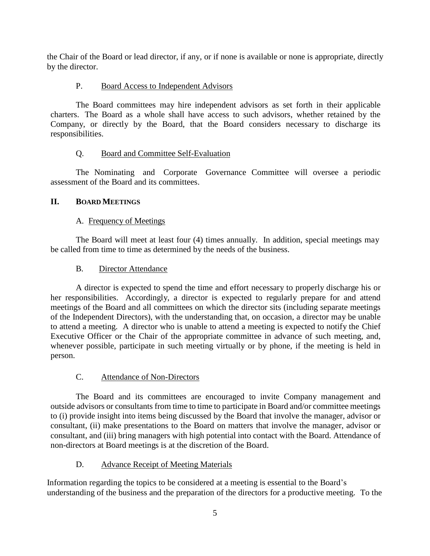the Chair of the Board or lead director, if any, or if none is available or none is appropriate, directly by the director.

# P. Board Access to Independent Advisors

The Board committees may hire independent advisors as set forth in their applicable charters. The Board as a whole shall have access to such advisors, whether retained by the Company, or directly by the Board, that the Board considers necessary to discharge its responsibilities.

# Q. Board and Committee Self-Evaluation

The Nominating and Corporate Governance Committee will oversee a periodic assessment of the Board and its committees.

# **II. BOARD MEETINGS**

# A. Frequency of Meetings

The Board will meet at least four (4) times annually. In addition, special meetings may be called from time to time as determined by the needs of the business.

## B. Director Attendance

A director is expected to spend the time and effort necessary to properly discharge his or her responsibilities. Accordingly, a director is expected to regularly prepare for and attend meetings of the Board and all committees on which the director sits (including separate meetings of the Independent Directors), with the understanding that, on occasion, a director may be unable to attend a meeting. A director who is unable to attend a meeting is expected to notify the Chief Executive Officer or the Chair of the appropriate committee in advance of such meeting, and, whenever possible, participate in such meeting virtually or by phone, if the meeting is held in person.

# C. Attendance of Non-Directors

The Board and its committees are encouraged to invite Company management and outside advisors or consultants from time to time to participate in Board and/or committee meetings to (i) provide insight into items being discussed by the Board that involve the manager, advisor or consultant, (ii) make presentations to the Board on matters that involve the manager, advisor or consultant, and (iii) bring managers with high potential into contact with the Board. Attendance of non-directors at Board meetings is at the discretion of the Board.

## D. Advance Receipt of Meeting Materials

Information regarding the topics to be considered at a meeting is essential to the Board's understanding of the business and the preparation of the directors for a productive meeting. To the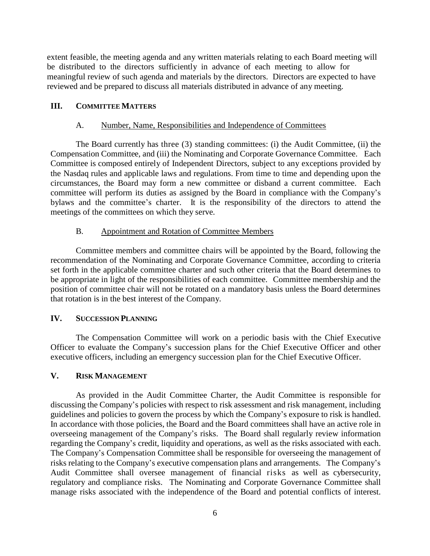extent feasible, the meeting agenda and any written materials relating to each Board meeting will be distributed to the directors sufficiently in advance of each meeting to allow for meaningful review of such agenda and materials by the directors. Directors are expected to have reviewed and be prepared to discuss all materials distributed in advance of any meeting.

#### **III. COMMITTEE MATTERS**

#### A. Number, Name, Responsibilities and Independence of Committees

The Board currently has three (3) standing committees: (i) the Audit Committee, (ii) the Compensation Committee, and (iii) the Nominating and Corporate Governance Committee. Each Committee is composed entirely of Independent Directors, subject to any exceptions provided by the Nasdaq rules and applicable laws and regulations. From time to time and depending upon the circumstances, the Board may form a new committee or disband a current committee. Each committee will perform its duties as assigned by the Board in compliance with the Company's bylaws and the committee's charter. It is the responsibility of the directors to attend the meetings of the committees on which they serve.

### B. Appointment and Rotation of Committee Members

Committee members and committee chairs will be appointed by the Board, following the recommendation of the Nominating and Corporate Governance Committee, according to criteria set forth in the applicable committee charter and such other criteria that the Board determines to be appropriate in light of the responsibilities of each committee. Committee membership and the position of committee chair will not be rotated on a mandatory basis unless the Board determines that rotation is in the best interest of the Company.

### **IV. SUCCESSION PLANNING**

The Compensation Committee will work on a periodic basis with the Chief Executive Officer to evaluate the Company's succession plans for the Chief Executive Officer and other executive officers, including an emergency succession plan for the Chief Executive Officer.

### **V. RISK MANAGEMENT**

As provided in the Audit Committee Charter, the Audit Committee is responsible for discussing the Company's policies with respect to risk assessment and risk management, including guidelines and policies to govern the process by which the Company's exposure to risk is handled. In accordance with those policies, the Board and the Board committees shall have an active role in overseeing management of the Company's risks. The Board shall regularly review information regarding the Company's credit, liquidity and operations, as well as the risks associated with each. The Company's Compensation Committee shall be responsible for overseeing the management of risks relating to the Company's executive compensation plans and arrangements. The Company's Audit Committee shall oversee management of financial risks as well as cybersecurity, regulatory and compliance risks. The Nominating and Corporate Governance Committee shall manage risks associated with the independence of the Board and potential conflicts of interest.